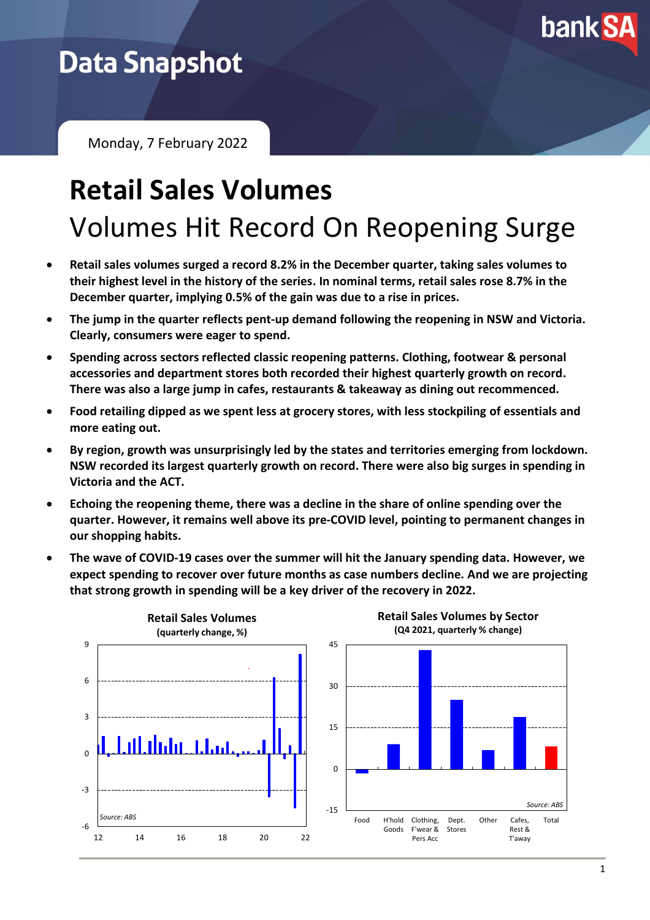

# **Data Snapshot**

Monday, 7 February 2022

# **Retail Sales Volumes** Volumes Hit Record On Reopening Surge

- **Retail sales volumes surged a record 8.2% in the December quarter, taking sales volumes to their highest level in the history of the series. In nominal terms, retail sales rose 8.7% in the December quarter, implying 0.5% of the gain was due to a rise in prices.**
- **The jump in the quarter reflects pent-up demand following the reopening in NSW and Victoria. Clearly, consumers were eager to spend.**
- **Spending across sectors reflected classic reopening patterns. Clothing, footwear & personal accessories and department stores both recorded their highest quarterly growth on record. There was also a large jump in cafes, restaurants & takeaway as dining out recommenced.**
- **Food retailing dipped as we spent less at grocery stores, with less stockpiling of essentials and more eating out.**
- **By region, growth was unsurprisingly led by the states and territories emerging from lockdown. NSW recorded its largest quarterly growth on record. There were also big surges in spending in Victoria and the ACT.**
- **Echoing the reopening theme, there was a decline in the share of online spending over the quarter. However, it remains well above its pre-COVID level, pointing to permanent changes in our shopping habits.**
- **The wave of COVID-19 cases over the summer will hit the January spending data. However, we expect spending to recover over future months as case numbers decline. And we are projecting that strong growth in spending will be a key driver of the recovery in 2022.**



**Retail Sales Volumes by Sector (Q4 2021, quarterly % change)**

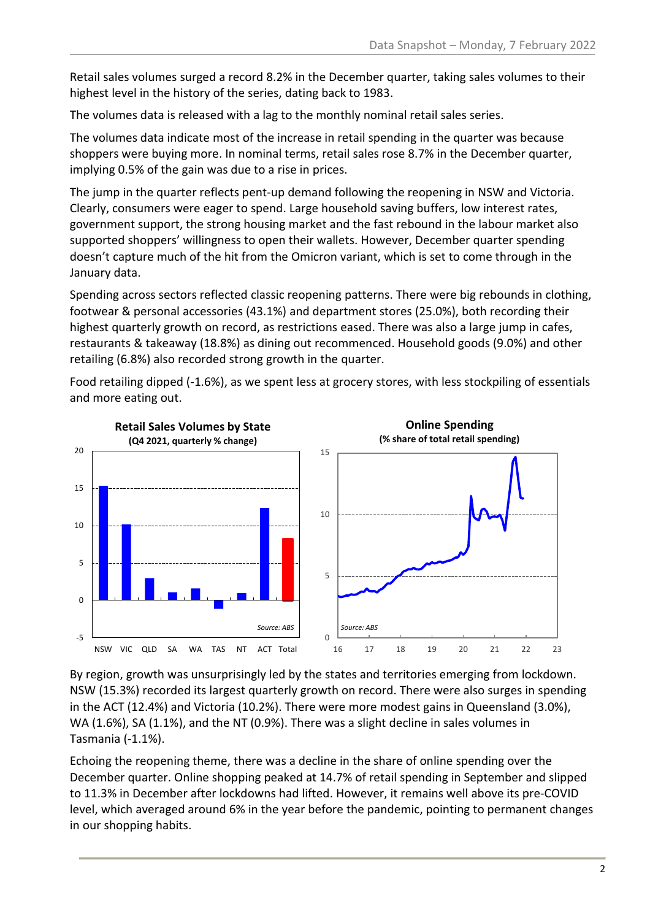Retail sales volumes surged a record 8.2% in the December quarter, taking sales volumes to their highest level in the history of the series, dating back to 1983.

The volumes data is released with a lag to the monthly nominal retail sales series.

The volumes data indicate most of the increase in retail spending in the quarter was because shoppers were buying more. In nominal terms, retail sales rose 8.7% in the December quarter, implying 0.5% of the gain was due to a rise in prices.

The jump in the quarter reflects pent-up demand following the reopening in NSW and Victoria. Clearly, consumers were eager to spend. Large household saving buffers, low interest rates, government support, the strong housing market and the fast rebound in the labour market also supported shoppers' willingness to open their wallets. However, December quarter spending doesn't capture much of the hit from the Omicron variant, which is set to come through in the January data.

Spending across sectors reflected classic reopening patterns. There were big rebounds in clothing, footwear & personal accessories (43.1%) and department stores (25.0%), both recording their highest quarterly growth on record, as restrictions eased. There was also a large jump in cafes, restaurants & takeaway (18.8%) as dining out recommenced. Household goods (9.0%) and other retailing (6.8%) also recorded strong growth in the quarter.

Food retailing dipped (-1.6%), as we spent less at grocery stores, with less stockpiling of essentials and more eating out.



By region, growth was unsurprisingly led by the states and territories emerging from lockdown. NSW (15.3%) recorded its largest quarterly growth on record. There were also surges in spending in the ACT (12.4%) and Victoria (10.2%). There were more modest gains in Queensland (3.0%), WA (1.6%), SA (1.1%), and the NT (0.9%). There was a slight decline in sales volumes in Tasmania (-1.1%).

Echoing the reopening theme, there was a decline in the share of online spending over the December quarter. Online shopping peaked at 14.7% of retail spending in September and slipped to 11.3% in December after lockdowns had lifted. However, it remains well above its pre-COVID level, which averaged around 6% in the year before the pandemic, pointing to permanent changes in our shopping habits.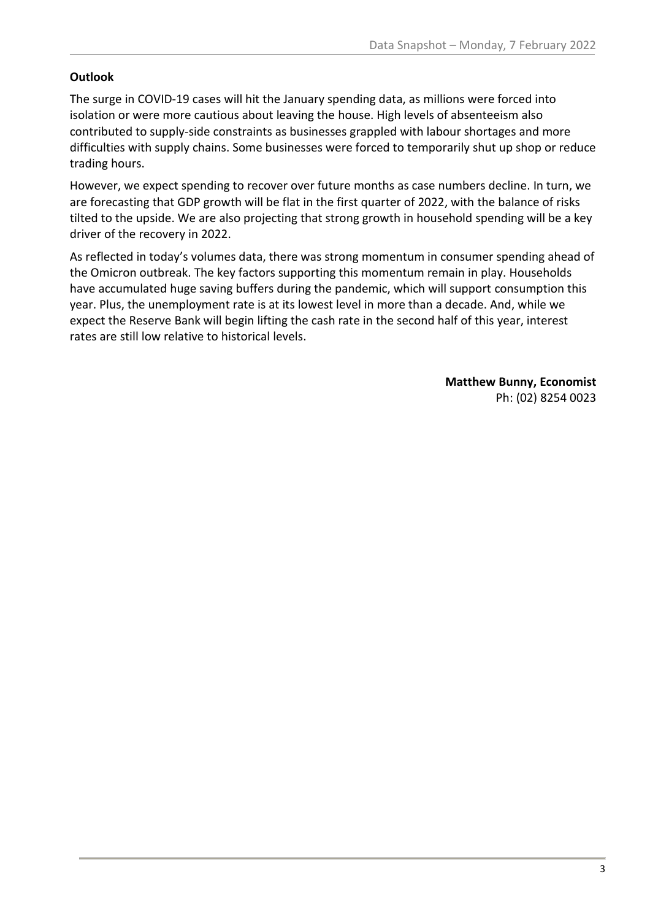## **Outlook**

The surge in COVID-19 cases will hit the January spending data, as millions were forced into isolation or were more cautious about leaving the house. High levels of absenteeism also contributed to supply-side constraints as businesses grappled with labour shortages and more difficulties with supply chains. Some businesses were forced to temporarily shut up shop or reduce trading hours.

However, we expect spending to recover over future months as case numbers decline. In turn, we are forecasting that GDP growth will be flat in the first quarter of 2022, with the balance of risks tilted to the upside. We are also projecting that strong growth in household spending will be a key driver of the recovery in 2022.

As reflected in today's volumes data, there was strong momentum in consumer spending ahead of the Omicron outbreak. The key factors supporting this momentum remain in play. Households have accumulated huge saving buffers during the pandemic, which will support consumption this year. Plus, the unemployment rate is at its lowest level in more than a decade. And, while we expect the Reserve Bank will begin lifting the cash rate in the second half of this year, interest rates are still low relative to historical levels.

> **Matthew Bunny, Economist** Ph: (02) 8254 0023